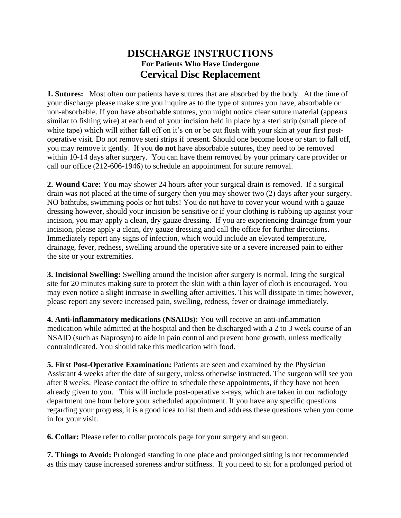## **DISCHARGE INSTRUCTIONS For Patients Who Have Undergone Cervical Disc Replacement**

**1. Sutures:** Most often our patients have sutures that are absorbed by the body. At the time of your discharge please make sure you inquire as to the type of sutures you have, absorbable or non-absorbable. If you have absorbable sutures, you might notice clear suture material (appears similar to fishing wire) at each end of your incision held in place by a steri strip (small piece of white tape) which will either fall off on it's on or be cut flush with your skin at your first postoperative visit. Do not remove steri strips if present. Should one become loose or start to fall off, you may remove it gently.If you **do not** have absorbable sutures, they need to be removed within 10-14 days after surgery. You can have them removed by your primary care provider or call our office (212-606-1946) to schedule an appointment for suture removal.

**2. Wound Care:** You may shower 24 hours after your surgical drain is removed. If a surgical drain was not placed at the time of surgery then you may shower two (2) days after your surgery. NO bathtubs, swimming pools or hot tubs! You do not have to cover your wound with a gauze dressing however, should your incision be sensitive or if your clothing is rubbing up against your incision, you may apply a clean, dry gauze dressing. If you are experiencing drainage from your incision, please apply a clean, dry gauze dressing and call the office for further directions. Immediately report any signs of infection, which would include an elevated temperature, drainage, fever, redness, swelling around the operative site or a severe increased pain to either the site or your extremities.

**3. Incisional Swelling:** Swelling around the incision after surgery is normal. Icing the surgical site for 20 minutes making sure to protect the skin with a thin layer of cloth is encouraged. You may even notice a slight increase in swelling after activities. This will dissipate in time; however, please report any severe increased pain, swelling, redness, fever or drainage immediately.

**4. Anti-inflammatory medications (NSAIDs):** You will receive an anti-inflammation medication while admitted at the hospital and then be discharged with a 2 to 3 week course of an NSAID (such as Naprosyn) to aide in pain control and prevent bone growth, unless medically contraindicated. You should take this medication with food.

**5. First Post-Operative Examination:** Patients are seen and examined by the Physician Assistant 4 weeks after the date of surgery, unless otherwise instructed. The surgeon will see you after 8 weeks. Please contact the office to schedule these appointments, if they have not been already given to you. This will include post-operative x-rays, which are taken in our radiology department one hour before your scheduled appointment. If you have any specific questions regarding your progress, it is a good idea to list them and address these questions when you come in for your visit.

**6. Collar:** Please refer to collar protocols page for your surgery and surgeon.

**7. Things to Avoid:** Prolonged standing in one place and prolonged sitting is not recommended as this may cause increased soreness and/or stiffness. If you need to sit for a prolonged period of